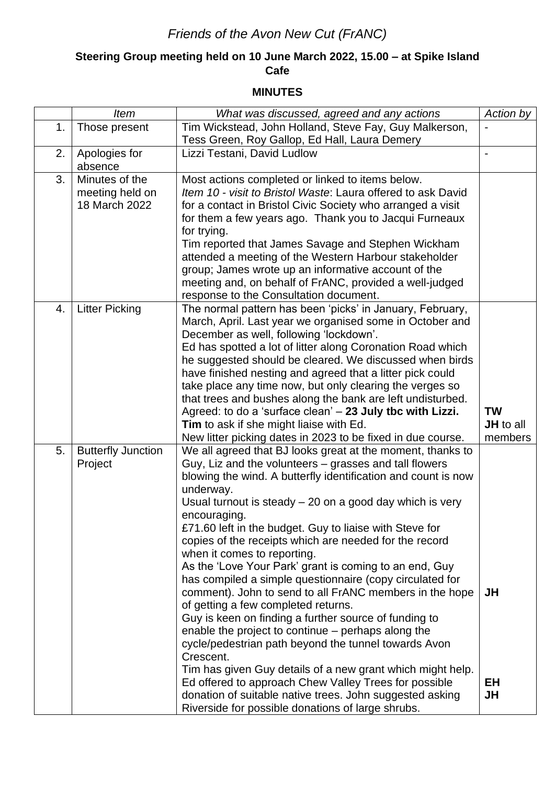## *Friends of the Avon New Cut (FrANC)*

## **Steering Group meeting held on 10 June March 2022, 15.00 – at Spike Island Cafe**

## **MINUTES**

|    | <b>Item</b>               | What was discussed, agreed and any actions                                                                    | Action by |
|----|---------------------------|---------------------------------------------------------------------------------------------------------------|-----------|
| 1. | Those present             | Tim Wickstead, John Holland, Steve Fay, Guy Malkerson,                                                        |           |
|    |                           | Tess Green, Roy Gallop, Ed Hall, Laura Demery                                                                 |           |
| 2. | Apologies for             | Lizzi Testani, David Ludlow                                                                                   |           |
|    | absence                   |                                                                                                               |           |
| 3. | Minutes of the            | Most actions completed or linked to items below.                                                              |           |
|    | meeting held on           | Item 10 - visit to Bristol Waste: Laura offered to ask David                                                  |           |
|    | 18 March 2022             | for a contact in Bristol Civic Society who arranged a visit                                                   |           |
|    |                           | for them a few years ago. Thank you to Jacqui Furneaux                                                        |           |
|    |                           | for trying.                                                                                                   |           |
|    |                           | Tim reported that James Savage and Stephen Wickham                                                            |           |
|    |                           | attended a meeting of the Western Harbour stakeholder                                                         |           |
|    |                           | group; James wrote up an informative account of the                                                           |           |
|    |                           | meeting and, on behalf of FrANC, provided a well-judged                                                       |           |
|    |                           | response to the Consultation document.                                                                        |           |
| 4. | <b>Litter Picking</b>     | The normal pattern has been 'picks' in January, February,                                                     |           |
|    |                           | March, April. Last year we organised some in October and                                                      |           |
|    |                           | December as well, following 'lockdown'.                                                                       |           |
|    |                           | Ed has spotted a lot of litter along Coronation Road which                                                    |           |
|    |                           | he suggested should be cleared. We discussed when birds                                                       |           |
|    |                           | have finished nesting and agreed that a litter pick could                                                     |           |
|    |                           | take place any time now, but only clearing the verges so                                                      |           |
|    |                           | that trees and bushes along the bank are left undisturbed.                                                    |           |
|    |                           | Agreed: to do a 'surface clean' - 23 July tbc with Lizzi.                                                     | <b>TW</b> |
|    |                           | Tim to ask if she might liaise with Ed.                                                                       | JH to all |
|    |                           |                                                                                                               |           |
|    |                           | New litter picking dates in 2023 to be fixed in due course.                                                   | members   |
| 5. | <b>Butterfly Junction</b> | We all agreed that BJ looks great at the moment, thanks to                                                    |           |
|    | Project                   | Guy, Liz and the volunteers – grasses and tall flowers                                                        |           |
|    |                           | blowing the wind. A butterfly identification and count is now                                                 |           |
|    |                           | underway.                                                                                                     |           |
|    |                           | Usual turnout is steady $-20$ on a good day which is very                                                     |           |
|    |                           | encouraging.                                                                                                  |           |
|    |                           | £71.60 left in the budget. Guy to liaise with Steve for                                                       |           |
|    |                           | copies of the receipts which are needed for the record                                                        |           |
|    |                           | when it comes to reporting.                                                                                   |           |
|    |                           | As the 'Love Your Park' grant is coming to an end, Guy                                                        |           |
|    |                           | has compiled a simple questionnaire (copy circulated for                                                      |           |
|    |                           | comment). John to send to all FrANC members in the hope                                                       | JH        |
|    |                           | of getting a few completed returns.                                                                           |           |
|    |                           | Guy is keen on finding a further source of funding to                                                         |           |
|    |                           | enable the project to continue – perhaps along the                                                            |           |
|    |                           | cycle/pedestrian path beyond the tunnel towards Avon                                                          |           |
|    |                           | Crescent.                                                                                                     |           |
|    |                           | Tim has given Guy details of a new grant which might help.                                                    |           |
|    |                           | Ed offered to approach Chew Valley Trees for possible                                                         | EH        |
|    |                           | donation of suitable native trees. John suggested asking<br>Riverside for possible donations of large shrubs. | JH        |